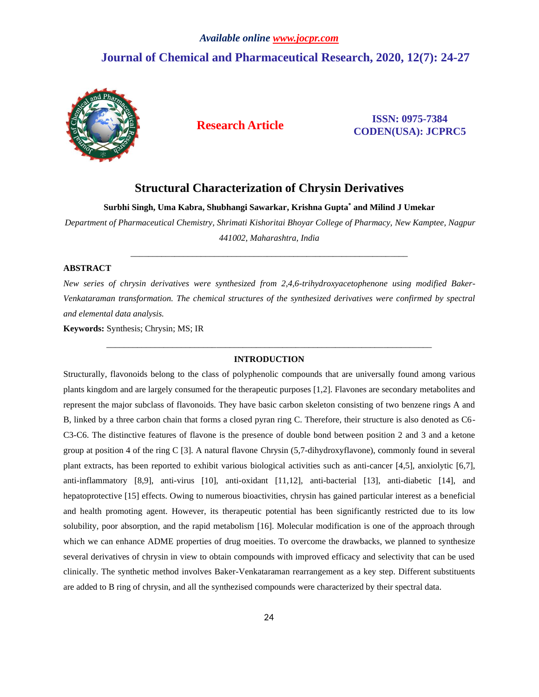# *Available online [www.jocpr.com](http://www.jocpr.com/)* **Journal of Chemical and Pharmaceutical Research, 2020, 12(7): 24-27**



# **Research Article ISSN: 0975-7384 CODEN(USA): JCPRC5**

# **Structural Characterization of Chrysin Derivatives**

**Surbhi Singh, Uma Kabra, Shubhangi Sawarkar, Krishna Gupta\* and Milind J Umekar**

*Department of Pharmaceutical Chemistry, Shrimati Kishoritai Bhoyar College of Pharmacy, New Kamptee, Nagpur 441002, Maharashtra, India*

\_\_\_\_\_\_\_\_\_\_\_\_\_\_\_\_\_\_\_\_\_\_\_\_\_\_\_\_\_\_\_\_\_\_\_\_\_\_\_\_\_\_\_\_\_\_\_\_\_\_\_\_\_\_\_\_\_\_\_\_\_\_\_

### **ABSTRACT**

*New series of chrysin derivatives were synthesized from 2,4,6-trihydroxyacetophenone using modified Baker-Venkataraman transformation. The chemical structures of the synthesized derivatives were confirmed by spectral and elemental data analysis.*

**Keywords:** Synthesis; Chrysin; MS; IR

# *\_\_\_\_\_\_\_\_\_\_\_\_\_\_\_\_\_\_\_\_\_\_\_\_\_\_\_\_\_\_\_\_\_\_\_\_\_\_\_\_\_\_\_\_\_\_\_\_\_\_\_\_\_\_\_\_\_\_\_\_\_\_\_\_\_\_\_\_\_\_\_\_\_\_* **INTRODUCTION**

Structurally, flavonoids belong to the class of polyphenolic compounds that are universally found among various plants kingdom and are largely consumed for the therapeutic purposes [1,2]. Flavones are secondary metabolites and represent the major subclass of flavonoids. They have basic carbon skeleton consisting of two benzene rings A and B, linked by a three carbon chain that forms a closed pyran ring C. Therefore, their structure is also denoted as C6- C3-C6. The distinctive features of flavone is the presence of double bond between position 2 and 3 and a ketone group at position 4 of the ring C [3]. A natural flavone Chrysin (5,7-dihydroxyflavone), commonly found in several plant extracts, has been reported to exhibit various biological activities such as anti-cancer [4,5], anxiolytic [6,7], anti-inflammatory [8,9], anti-virus [10], anti-oxidant [11,12], anti-bacterial [13], anti-diabetic [14], and hepatoprotective [15] effects. Owing to numerous bioactivities, chrysin has gained particular interest as a beneficial and health promoting agent. However, its therapeutic potential has been significantly restricted due to its low solubility, poor absorption, and the rapid metabolism [16]. Molecular modification is one of the approach through which we can enhance ADME properties of drug moeities. To overcome the drawbacks, we planned to synthesize several derivatives of chrysin in view to obtain compounds with improved efficacy and selectivity that can be used clinically. The synthetic method involves Baker-Venkataraman rearrangement as a key step. Different substituents are added to B ring of chrysin, and all the synthezised compounds were characterized by their spectral data.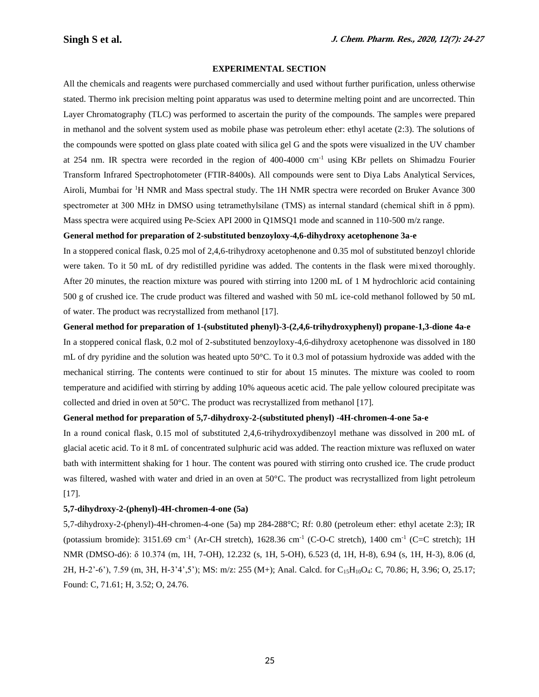# **EXPERIMENTAL SECTION**

All the chemicals and reagents were purchased commercially and used without further purification, unless otherwise stated. Thermo ink precision melting point apparatus was used to determine melting point and are uncorrected. Thin Layer Chromatography (TLC) was performed to ascertain the purity of the compounds. The samples were prepared in methanol and the solvent system used as mobile phase was petroleum ether: ethyl acetate (2:3). The solutions of the compounds were spotted on glass plate coated with silica gel G and the spots were visualized in the UV chamber at 254 nm. IR spectra were recorded in the region of 400-4000 cm-1 using KBr pellets on Shimadzu Fourier Transform Infrared Spectrophotometer (FTIR-8400s). All compounds were sent to Diya Labs Analytical Services, Airoli, Mumbai for <sup>1</sup>H NMR and Mass spectral study. The 1H NMR spectra were recorded on Bruker Avance 300 spectrometer at 300 MHz in DMSO using tetramethylsilane (TMS) as internal standard (chemical shift in δ ppm). Mass spectra were acquired using Pe-Sciex API 2000 in Q1MSQ1 mode and scanned in 110-500 m/z range.

#### **General method for preparation of 2-substituted benzoyloxy-4,6-dihydroxy acetophenone 3a-e**

In a stoppered conical flask, 0.25 mol of 2,4,6-trihydroxy acetophenone and 0.35 mol of substituted benzoyl chloride were taken. To it 50 mL of dry redistilled pyridine was added. The contents in the flask were mixed thoroughly. After 20 minutes, the reaction mixture was poured with stirring into 1200 mL of 1 M hydrochloric acid containing 500 g of crushed ice. The crude product was filtered and washed with 50 mL ice-cold methanol followed by 50 mL of water. The product was recrystallized from methanol [17].

#### **General method for preparation of 1-(substituted phenyl)-3-(2,4,6-trihydroxyphenyl) propane-1,3-dione 4a-e**

In a stoppered conical flask, 0.2 mol of 2-substituted benzoyloxy-4,6-dihydroxy acetophenone was dissolved in 180 mL of dry pyridine and the solution was heated upto 50°C. To it 0.3 mol of potassium hydroxide was added with the mechanical stirring. The contents were continued to stir for about 15 minutes. The mixture was cooled to room temperature and acidified with stirring by adding 10% aqueous acetic acid. The pale yellow coloured precipitate was collected and dried in oven at  $50^{\circ}$ C. The product was recrystallized from methanol [17].

#### **General method for preparation of 5,7-dihydroxy-2-(substituted phenyl) -4H-chromen-4-one 5a-e**

In a round conical flask, 0.15 mol of substituted 2,4,6-trihydroxydibenzoyl methane was dissolved in 200 mL of glacial acetic acid. To it 8 mL of concentrated sulphuric acid was added. The reaction mixture was refluxed on water bath with intermittent shaking for 1 hour. The content was poured with stirring onto crushed ice. The crude product was filtered, washed with water and dried in an oven at 50°C. The product was recrystallized from light petroleum [17].

#### **5,7-dihydroxy-2-(phenyl)-4H-chromen-4-one (5a)**

5,7-dihydroxy-2-(phenyl)-4H-chromen-4-one (5a) mp 284-288°C; Rf: 0.80 (petroleum ether: ethyl acetate 2:3); IR (potassium bromide): 3151.69 cm<sup>-1</sup> (Ar-CH stretch), 1628.36 cm<sup>-1</sup> (C-O-C stretch), 1400 cm<sup>-1</sup> (C=C stretch); 1H NMR (DMSO-d6): δ 10.374 (m, 1H, 7-OH), 12.232 (s, 1H, 5-OH), 6.523 (d, 1H, H-8), 6.94 (s, 1H, H-3), 8.06 (d, 2H, H-2'-6'), 7.59 (m, 3H, H-3'4',5'); MS: m/z: 255 (M+); Anal. Calcd. for C15H10O4: C, 70.86; H, 3.96; O, 25.17; Found: C, 71.61; H, 3.52; O, 24.76.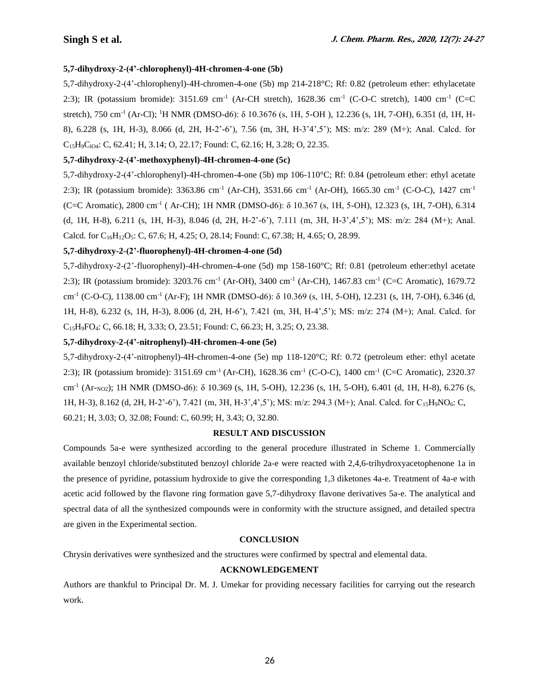# **5,7-dihydroxy-2-(4'-chlorophenyl)-4H-chromen-4-one (5b)**

5,7-dihydroxy-2-(4'-chlorophenyl)-4H-chromen-4-one (5b) mp 214-218°C; Rf: 0.82 (petroleum ether: ethylacetate 2:3); IR (potassium bromide): 3151.69 cm<sup>-1</sup> (Ar-CH stretch), 1628.36 cm<sup>-1</sup> (C-O-C stretch), 1400 cm<sup>-1</sup> (C=C stretch), 750 cm<sup>-1</sup> (Ar-Cl); <sup>1</sup>H NMR (DMSO-d6): δ 10.3676 (s, 1H, 5-OH), 12.236 (s, 1H, 7-OH), 6.351 (d, 1H, H-8), 6.228 (s, 1H, H-3), 8.066 (d, 2H, H-2'-6'), 7.56 (m, 3H, H-3'4',5'); MS: m/z: 289 (M+); Anal. Calcd. for  $C_{15}H_9C_{104}$ : C, 62.41; H, 3.14; O, 22.17; Found: C, 62.16; H, 3.28; O, 22.35.

# **5,7-dihydroxy-2-(4'-methoxyphenyl)-4H-chromen-4-one (5c)**

5,7-dihydroxy-2-(4'-chlorophenyl)-4H-chromen-4-one (5b) mp 106-110°C; Rf: 0.84 (petroleum ether: ethyl acetate 2:3); IR (potassium bromide): 3363.86 cm<sup>-1</sup> (Ar-CH), 3531.66 cm<sup>-1</sup> (Ar-OH), 1665.30 cm<sup>-1</sup> (C-O-C), 1427 cm<sup>-1</sup> (C=C Aromatic), 2800 cm-1 ( Ar-CH); 1H NMR (DMSO-d6): δ 10.367 (s, 1H, 5-OH), 12.323 (s, 1H, 7-OH), 6.314 (d, 1H, H-8), 6.211 (s, 1H, H-3), 8.046 (d, 2H, H-2'-6'), 7.111 (m, 3H, H-3',4',5'); MS: m/z: 284 (M+); Anal. Calcd. for  $C_{16}H_{12}O_5$ : C, 67.6; H, 4.25; O, 28.14; Found: C, 67.38; H, 4.65; O, 28.99.

# **5,7-dihydroxy-2-(2'-fluorophenyl)-4H-chromen-4-one (5d)**

5,7-dihydroxy-2-(2'-fluorophenyl)-4H-chromen-4-one (5d) mp 158-160°C; Rf: 0.81 (petroleum ether:ethyl acetate 2:3); IR (potassium bromide): 3203.76 cm<sup>-1</sup> (Ar-OH), 3400 cm<sup>-1</sup> (Ar-CH), 1467.83 cm<sup>-1</sup> (C=C Aromatic), 1679.72 cm<sup>-1</sup> (C-O-C), 1138.00 cm<sup>-1</sup> (Ar-F); 1H NMR (DMSO-d6): δ 10.369 (s, 1H, 5-OH), 12.231 (s, 1H, 7-OH), 6.346 (d, 1H, H-8), 6.232 (s, 1H, H-3), 8.006 (d, 2H, H-6'), 7.421 (m, 3H, H-4',5'); MS: m/z: 274 (M+); Anal. Calcd. for C15H9FO4: C, 66.18; H, 3.33; O, 23.51; Found: C, 66.23; H, 3.25; O, 23.38.

# **5,7-dihydroxy-2-(4'-nitrophenyl)-4H-chromen-4-one (5e)**

5,7-dihydroxy-2-(4'-nitrophenyl)-4H-chromen-4-one (5e) mp 118-120°C; Rf: 0.72 (petroleum ether: ethyl acetate 2:3); IR (potassium bromide): 3151.69 cm<sup>-1</sup> (Ar-CH), 1628.36 cm<sup>-1</sup> (C-O-C), 1400 cm<sup>-1</sup> (C=C Aromatic), 2320.37 cm<sup>-1</sup> (Ar-<sub>NO2</sub>); 1H NMR (DMSO-d6): δ 10.369 (s, 1H, 5-OH), 12.236 (s, 1H, 5-OH), 6.401 (d, 1H, H-8), 6.276 (s, 1H, H-3), 8.162 (d, 2H, H-2'-6'), 7.421 (m, 3H, H-3',4',5'); MS: m/z: 294.3 (M+); Anal. Calcd. for C15H9NO6: C, 60.21; H, 3.03; O, 32.08; Found: C, 60.99; H, 3.43; O, 32.80.

# **RESULT AND DISCUSSION**

Compounds 5a-e were synthesized according to the general procedure illustrated in Scheme 1. Commercially available benzoyl chloride/substituted benzoyl chloride 2a-e were reacted with 2,4,6-trihydroxyacetophenone 1a in the presence of pyridine, potassium hydroxide to give the corresponding 1,3 diketones 4a-e. Treatment of 4a-e with acetic acid followed by the flavone ring formation gave 5,7-dihydroxy flavone derivatives 5a-e. The analytical and spectral data of all the synthesized compounds were in conformity with the structure assigned, and detailed spectra are given in the Experimental section.

# **CONCLUSION**

Chrysin derivatives were synthesized and the structures were confirmed by spectral and elemental data.

# **ACKNOWLEDGEMENT**

Authors are thankful to Principal Dr. M. J. Umekar for providing necessary facilities for carrying out the research work.